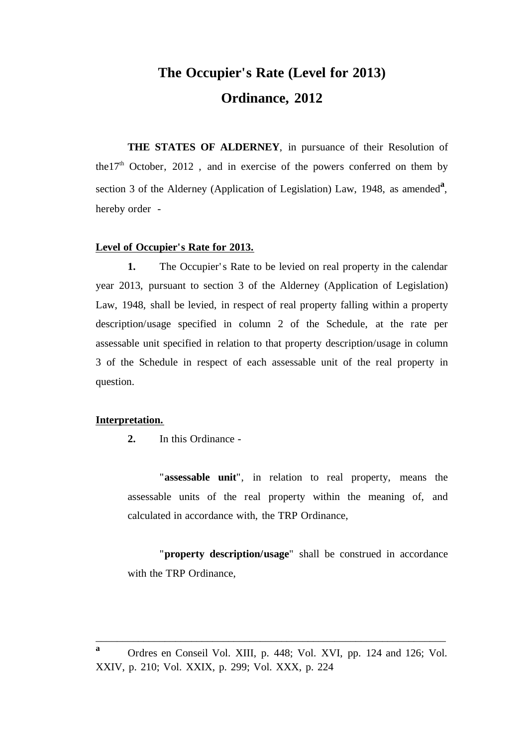# **The Occupier's Rate (Level for 2013) Ordinance, 2012**

**THE STATES OF ALDERNEY**, in pursuance of their Resolution of the17<sup>th</sup> October, 2012, and in exercise of the powers conferred on them by section 3 of the Alderney (Application of Legislation) Law, 1948, as amended<sup>a</sup>, hereby order -

#### **Level of Occupier's Rate for 2013.**

**1.** The Occupier's Rate to be levied on real property in the calendar year 2013, pursuant to section 3 of the Alderney (Application of Legislation) Law, 1948, shall be levied, in respect of real property falling within a property description/usage specified in column 2 of the Schedule, at the rate per assessable unit specified in relation to that property description/usage in column 3 of the Schedule in respect of each assessable unit of the real property in question.

#### **Interpretation.**

**2.** In this Ordinance -

"**assessable unit**", in relation to real property, means the assessable units of the real property within the meaning of, and calculated in accordance with, the TRP Ordinance,

"**property description/usage**" shall be construed in accordance with the TRP Ordinance,

\_\_\_\_\_\_\_\_\_\_\_\_\_\_\_\_\_\_\_\_\_\_\_\_\_\_\_\_\_\_\_\_\_\_\_\_\_\_\_\_\_\_\_\_\_\_\_\_\_\_\_\_\_\_\_\_\_\_\_\_\_\_\_\_\_\_

**a** Ordres en Conseil Vol. XIII, p. 448; Vol. XVI, pp. 124 and 126; Vol. XXIV, p. 210; Vol. XXIX, p. 299; Vol. XXX, p. 224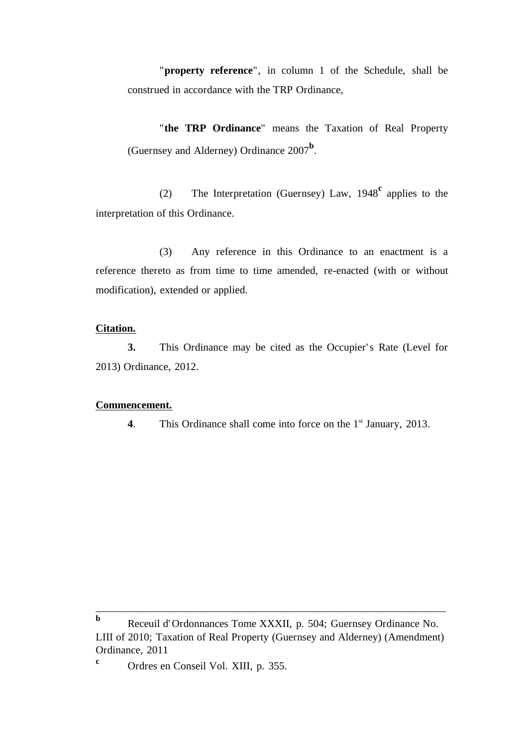"**property reference**", in column 1 of the Schedule, shall be construed in accordance with the TRP Ordinance,

"**the TRP Ordinance**" means the Taxation of Real Property (Guernsey and Alderney) Ordinance 2007**<sup>b</sup>** .

(2) The Interpretation (Guernsey) Law, 1948**<sup>c</sup>** applies to the interpretation of this Ordinance.

(3) Any reference in this Ordinance to an enactment is a reference thereto as from time to time amended, re-enacted (with or without modification), extended or applied.

#### **Citation.**

**3.** This Ordinance may be cited as the Occupier's Rate (Level for 2013) Ordinance, 2012.

### **Commencement.**

**4**. This Ordinance shall come into force on the 1<sup>st</sup> January, 2013.

\_\_\_\_\_\_\_\_\_\_\_\_\_\_\_\_\_\_\_\_\_\_\_\_\_\_\_\_\_\_\_\_\_\_\_\_\_\_\_\_\_\_\_\_\_\_\_\_\_\_\_\_\_\_\_\_\_\_\_\_\_\_\_\_\_\_

**b** Receuil d' Ordonnances Tome XXXII, p. 504; Guernsey Ordinance No. LIII of 2010; Taxation of Real Property (Guernsey and Alderney) (Amendment) Ordinance, 2011

**<sup>c</sup>** Ordres en Conseil Vol. XIII, p. 355.